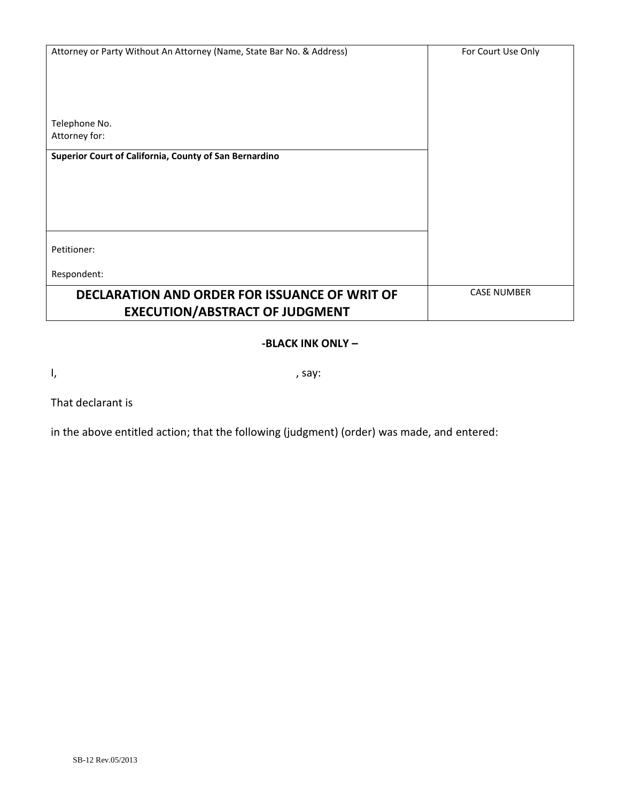| Attorney or Party Without An Attorney (Name, State Bar No. & Address) | For Court Use Only |
|-----------------------------------------------------------------------|--------------------|
|                                                                       |                    |
|                                                                       |                    |
|                                                                       |                    |
|                                                                       |                    |
| Telephone No.                                                         |                    |
| Attorney for:                                                         |                    |
| Superior Court of California, County of San Bernardino                |                    |
|                                                                       |                    |
|                                                                       |                    |
|                                                                       |                    |
|                                                                       |                    |
|                                                                       |                    |
| Petitioner:                                                           |                    |
|                                                                       |                    |
| Respondent:                                                           |                    |
| DECLARATION AND ORDER FOR ISSUANCE OF WRIT OF                         | <b>CASE NUMBER</b> |
| <b>EXECUTION/ABSTRACT OF JUDGMENT</b>                                 |                    |

## **-BLACK INK ONLY –**

 $I,$  , say:

That declarant is

in the above entitled action; that the following (judgment) (order) was made, and entered: